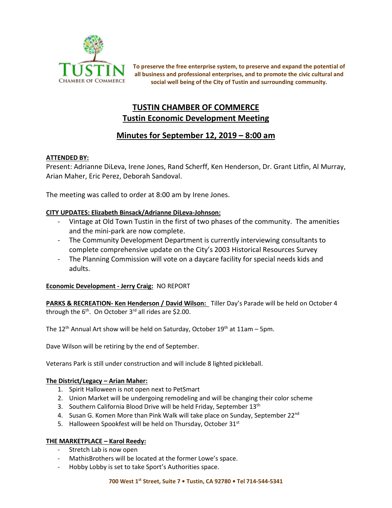

**To preserve the free enterprise system, to preserve and expand the potential of all business and professional enterprises, and to promote the civic cultural and social well being of the City of Tustin and surrounding community.**

# **TUSTIN CHAMBER OF COMMERCE Tustin Economic Development Meeting**

# **Minutes for September 12, 2019 – 8:00 am**

# **ATTENDED BY:**

Present: Adrianne DiLeva, Irene Jones, Rand Scherff, Ken Henderson, Dr. Grant Litfin, Al Murray, Arian Maher, Eric Perez, Deborah Sandoval.

The meeting was called to order at 8:00 am by Irene Jones.

# **CITY UPDATES: Elizabeth Binsack/Adrianne DiLeva-Johnson:**

- Vintage at Old Town Tustin in the first of two phases of the community. The amenities and the mini-park are now complete.
- The Community Development Department is currently interviewing consultants to complete comprehensive update on the City's 2003 Historical Resources Survey
- The Planning Commission will vote on a daycare facility for special needs kids and adults.

## **Economic Development - Jerry Craig:** NO REPORT

**PARKS & RECREATION- Ken Henderson / David Wilson:** Tiller Day's Parade will be held on October 4 through the  $6<sup>th</sup>$ . On October 3<sup>rd</sup> all rides are \$2.00.

The 12<sup>th</sup> Annual Art show will be held on Saturday, October 19<sup>th</sup> at 11am – 5pm.

Dave Wilson will be retiring by the end of September.

Veterans Park is still under construction and will include 8 lighted pickleball.

## **The District/Legacy – Arian Maher:**

- 1. Spirit Halloween is not open next to PetSmart
- 2. Union Market will be undergoing remodeling and will be changing their color scheme
- 3. Southern California Blood Drive will be held Friday, September 13<sup>th</sup>
- 4. Susan G. Komen More than Pink Walk will take place on Sunday, September 22<sup>nd</sup>
- 5. Halloween Spookfest will be held on Thursday, October 31st

## **THE MARKETPLACE – Karol Reedy:**

- Stretch Lab is now open
- MathisBrothers will be located at the former Lowe's space.
- Hobby Lobby is set to take Sport's Authorities space.